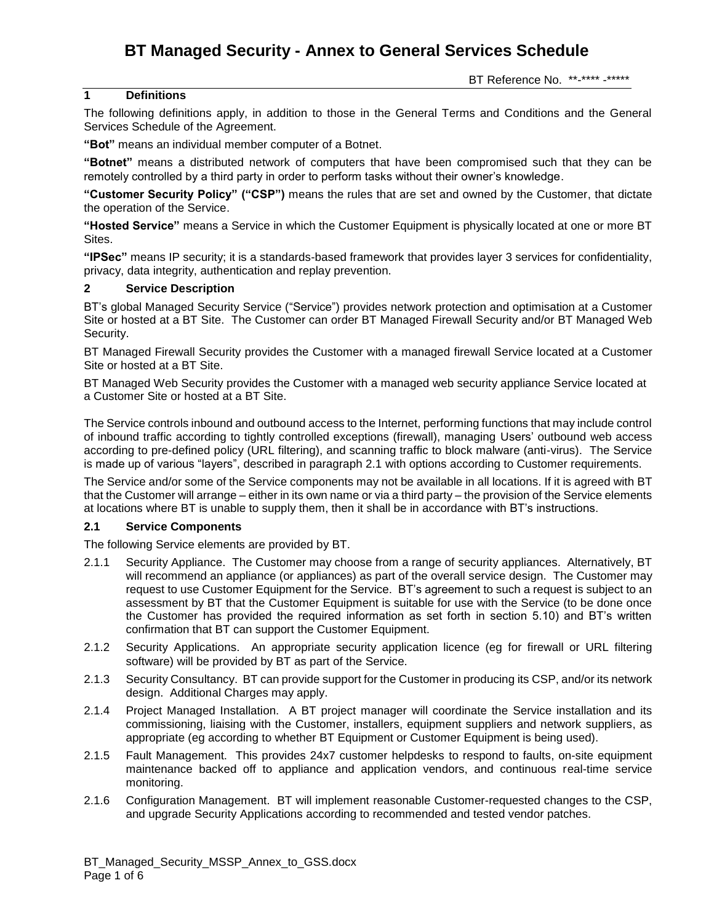#### **1 Definitions**

The following definitions apply, in addition to those in the General Terms and Conditions and the General Services Schedule of the Agreement.

**"Bot"** means an individual member computer of a Botnet.

**"Botnet"** means a distributed network of computers that have been compromised such that they can be remotely controlled by a third party in order to perform tasks without their owner's knowledge.

**"Customer Security Policy" ("CSP")** means the rules that are set and owned by the Customer, that dictate the operation of the Service.

**"Hosted Service"** means a Service in which the Customer Equipment is physically located at one or more BT Sites.

**"IPSec"** means IP security; it is a standards-based framework that provides layer 3 services for confidentiality, privacy, data integrity, authentication and replay prevention.

## **2 Service Description**

BT's global Managed Security Service ("Service") provides network protection and optimisation at a Customer Site or hosted at a BT Site. The Customer can order BT Managed Firewall Security and/or BT Managed Web Security.

BT Managed Firewall Security provides the Customer with a managed firewall Service located at a Customer Site or hosted at a BT Site.

BT Managed Web Security provides the Customer with a managed web security appliance Service located at a Customer Site or hosted at a BT Site.

The Service controls inbound and outbound access to the Internet, performing functions that may include control of inbound traffic according to tightly controlled exceptions (firewall), managing Users' outbound web access according to pre-defined policy (URL filtering), and scanning traffic to block malware (anti-virus). The Service is made up of various "layers", described in paragraph 2.1 with options according to Customer requirements.

The Service and/or some of the Service components may not be available in all locations. If it is agreed with BT that the Customer will arrange – either in its own name or via a third party – the provision of the Service elements at locations where BT is unable to supply them, then it shall be in accordance with BT's instructions.

### **2.1 Service Components**

The following Service elements are provided by BT.

- 2.1.1 Security Appliance. The Customer may choose from a range of security appliances. Alternatively, BT will recommend an appliance (or appliances) as part of the overall service design. The Customer may request to use Customer Equipment for the Service. BT's agreement to such a request is subject to an assessment by BT that the Customer Equipment is suitable for use with the Service (to be done once the Customer has provided the required information as set forth in section 5.10) and BT's written confirmation that BT can support the Customer Equipment.
- 2.1.2 Security Applications. An appropriate security application licence (eg for firewall or URL filtering software) will be provided by BT as part of the Service.
- 2.1.3 Security Consultancy. BT can provide support for the Customer in producing its CSP, and/or its network design. Additional Charges may apply.
- 2.1.4 Project Managed Installation. A BT project manager will coordinate the Service installation and its commissioning, liaising with the Customer, installers, equipment suppliers and network suppliers, as appropriate (eg according to whether BT Equipment or Customer Equipment is being used).
- 2.1.5 Fault Management. This provides 24x7 customer helpdesks to respond to faults, on-site equipment maintenance backed off to appliance and application vendors, and continuous real-time service monitoring.
- 2.1.6 Configuration Management. BT will implement reasonable Customer-requested changes to the CSP, and upgrade Security Applications according to recommended and tested vendor patches.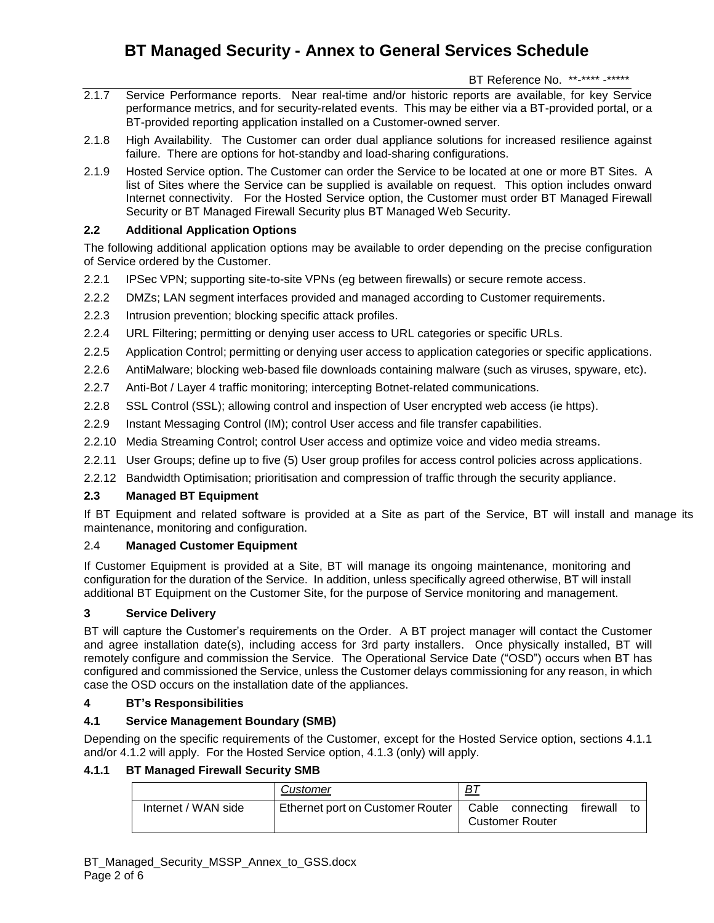### BT Reference No. \*\*-\*\*\*\* -\*\*\*\*\*

- 2.1.7 Service Performance reports. Near real-time and/or historic reports are available, for key Service performance metrics, and for security-related events. This may be either via a BT-provided portal, or a BT-provided reporting application installed on a Customer-owned server.
- 2.1.8 High Availability. The Customer can order dual appliance solutions for increased resilience against failure. There are options for hot-standby and load-sharing configurations.
- 2.1.9 Hosted Service option. The Customer can order the Service to be located at one or more BT Sites. A list of Sites where the Service can be supplied is available on request. This option includes onward Internet connectivity. For the Hosted Service option, the Customer must order BT Managed Firewall Security or BT Managed Firewall Security plus BT Managed Web Security.

# **2.2 Additional Application Options**

The following additional application options may be available to order depending on the precise configuration of Service ordered by the Customer.

- 2.2.1 IPSec VPN; supporting site-to-site VPNs (eg between firewalls) or secure remote access.
- 2.2.2 DMZs; LAN segment interfaces provided and managed according to Customer requirements.
- 2.2.3 Intrusion prevention; blocking specific attack profiles.
- 2.2.4 URL Filtering; permitting or denying user access to URL categories or specific URLs.
- 2.2.5 Application Control; permitting or denying user access to application categories or specific applications.
- 2.2.6 AntiMalware; blocking web-based file downloads containing malware (such as viruses, spyware, etc).
- 2.2.7 Anti-Bot / Layer 4 traffic monitoring; intercepting Botnet-related communications.
- 2.2.8 SSL Control (SSL); allowing control and inspection of User encrypted web access (ie https).
- 2.2.9 Instant Messaging Control (IM); control User access and file transfer capabilities.
- 2.2.10 Media Streaming Control; control User access and optimize voice and video media streams.
- 2.2.11 User Groups; define up to five (5) User group profiles for access control policies across applications.
- 2.2.12 Bandwidth Optimisation; prioritisation and compression of traffic through the security appliance.

### **2.3 Managed BT Equipment**

If BT Equipment and related software is provided at a Site as part of the Service, BT will install and manage its maintenance, monitoring and configuration.

### 2.4 **Managed Customer Equipment**

If Customer Equipment is provided at a Site, BT will manage its ongoing maintenance, monitoring and configuration for the duration of the Service. In addition, unless specifically agreed otherwise, BT will install additional BT Equipment on the Customer Site, for the purpose of Service monitoring and management.

### **3 Service Delivery**

BT will capture the Customer's requirements on the Order. A BT project manager will contact the Customer and agree installation date(s), including access for 3rd party installers. Once physically installed, BT will remotely configure and commission the Service. The Operational Service Date ("OSD") occurs when BT has configured and commissioned the Service, unless the Customer delays commissioning for any reason, in which case the OSD occurs on the installation date of the appliances.

### **4 BT's Responsibilities**

# **4.1 Service Management Boundary (SMB)**

Depending on the specific requirements of the Customer, except for the Hosted Service option, sections 4.1.1 and/or 4.1.2 will apply. For the Hosted Service option, 4.1.3 (only) will apply.

### **4.1.1 BT Managed Firewall Security SMB**

|                     | Customer                                            | <u>BT</u> |                        |          |    |
|---------------------|-----------------------------------------------------|-----------|------------------------|----------|----|
| Internet / WAN side | Ethernet port on Customer Router   Cable connecting |           | <b>Customer Router</b> | firewall | to |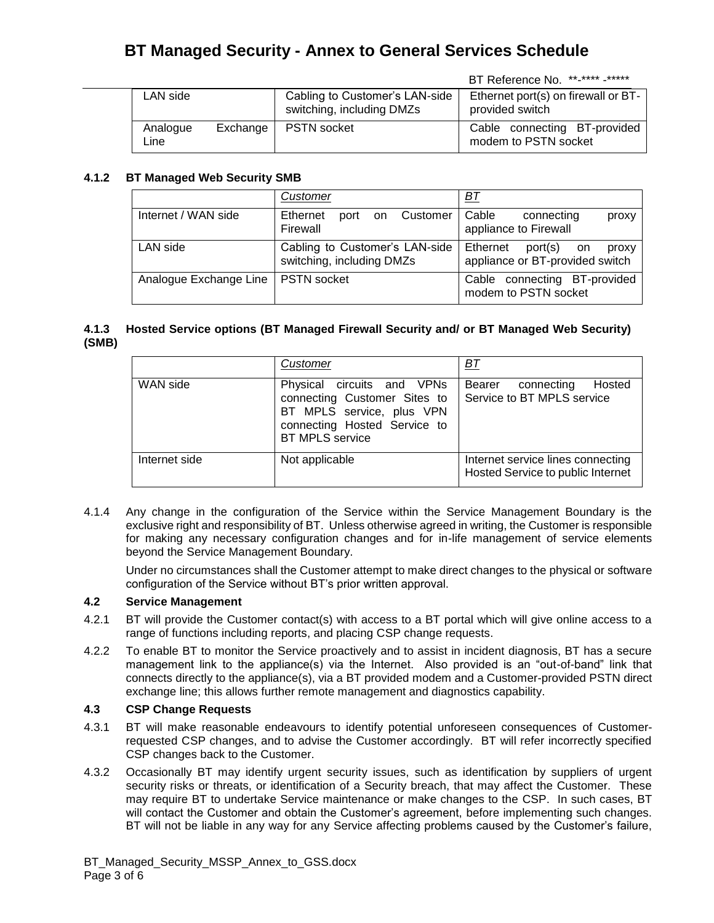BT Reference No. \*\*-\*\*\*\* -\*\*\*\*\*

|                  |                                                             | <u>DI INCICIONICO INO.</u>                             |
|------------------|-------------------------------------------------------------|--------------------------------------------------------|
| LAN side         | Cabling to Customer's LAN-side<br>switching, including DMZs | Ethernet port(s) on firewall or BT-<br>provided switch |
| Analogue<br>Line | Exchange   PSTN socket                                      | Cable connecting BT-provided<br>modem to PSTN socket   |

## **4.1.2 BT Managed Web Security SMB**

|                        | Customer                                                    | BТ                                                                      |
|------------------------|-------------------------------------------------------------|-------------------------------------------------------------------------|
| Internet / WAN side    | Ethernet<br>on Customer<br>port<br>Firewall                 | Cable<br>connecting<br>proxy<br>appliance to Firewall                   |
| LAN side               | Cabling to Customer's LAN-side<br>switching, including DMZs | Ethernet<br>port(s)<br>on o<br>proxy<br>appliance or BT-provided switch |
| Analogue Exchange Line | <b>PSTN</b> socket                                          | connecting BT-provided<br>Cable<br>modem to PSTN socket                 |

## **4.1.3 Hosted Service options (BT Managed Firewall Security and/ or BT Managed Web Security) (SMB)**

|                                                                                                                                                               | Customer       | <u>BT</u>                                                              |  |
|---------------------------------------------------------------------------------------------------------------------------------------------------------------|----------------|------------------------------------------------------------------------|--|
| WAN side<br>Physical circuits and VPNs<br>connecting Customer Sites to<br>BT MPLS service, plus VPN<br>connecting Hosted Service to<br><b>BT MPLS service</b> |                | Hosted<br>Bearer<br>connecting<br>Service to BT MPLS service           |  |
| Internet side                                                                                                                                                 | Not applicable | Internet service lines connecting<br>Hosted Service to public Internet |  |

4.1.4 Any change in the configuration of the Service within the Service Management Boundary is the exclusive right and responsibility of BT. Unless otherwise agreed in writing, the Customer is responsible for making any necessary configuration changes and for in-life management of service elements beyond the Service Management Boundary.

Under no circumstances shall the Customer attempt to make direct changes to the physical or software configuration of the Service without BT's prior written approval.

# **4.2 Service Management**

- 4.2.1 BT will provide the Customer contact(s) with access to a BT portal which will give online access to a range of functions including reports, and placing CSP change requests.
- 4.2.2 To enable BT to monitor the Service proactively and to assist in incident diagnosis, BT has a secure management link to the appliance(s) via the Internet. Also provided is an "out-of-band" link that connects directly to the appliance(s), via a BT provided modem and a Customer-provided PSTN direct exchange line; this allows further remote management and diagnostics capability.

# **4.3 CSP Change Requests**

- 4.3.1 BT will make reasonable endeavours to identify potential unforeseen consequences of Customerrequested CSP changes, and to advise the Customer accordingly. BT will refer incorrectly specified CSP changes back to the Customer.
- 4.3.2 Occasionally BT may identify urgent security issues, such as identification by suppliers of urgent security risks or threats, or identification of a Security breach, that may affect the Customer. These may require BT to undertake Service maintenance or make changes to the CSP. In such cases, BT will contact the Customer and obtain the Customer's agreement, before implementing such changes. BT will not be liable in any way for any Service affecting problems caused by the Customer's failure,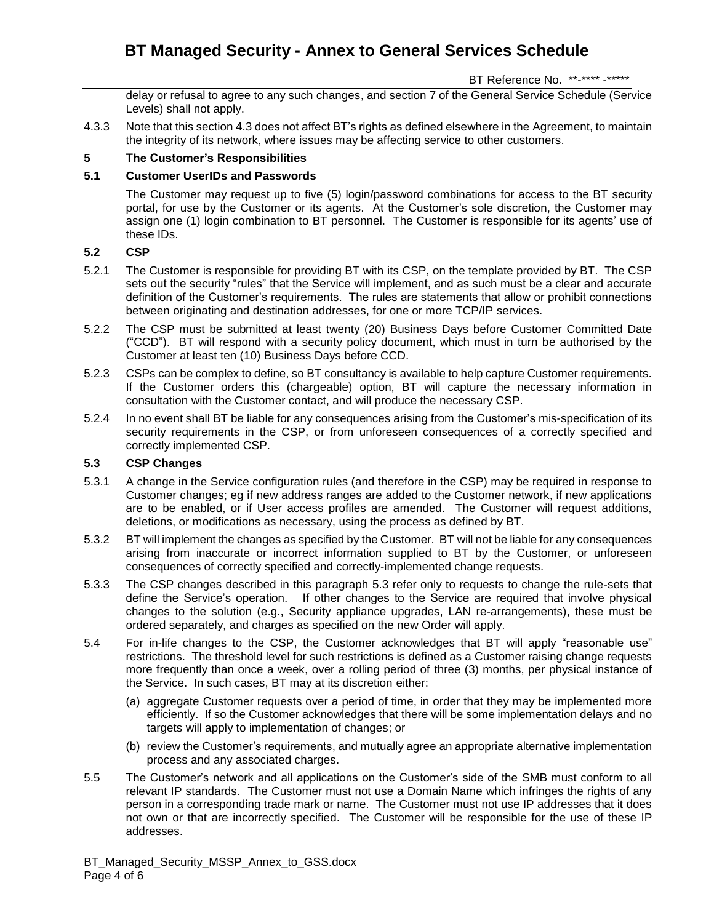BT Reference No. \*\*-\*\*\*\* -\*\*\*\*\*

delay or refusal to agree to any such changes, and section 7 of the General Service Schedule (Service Levels) shall not apply.

4.3.3 Note that this section 4.3 does not affect BT's rights as defined elsewhere in the Agreement, to maintain the integrity of its network, where issues may be affecting service to other customers.

## **5 The Customer's Responsibilities**

## **5.1 Customer UserIDs and Passwords**

The Customer may request up to five (5) login/password combinations for access to the BT security portal, for use by the Customer or its agents. At the Customer's sole discretion, the Customer may assign one (1) login combination to BT personnel. The Customer is responsible for its agents' use of these IDs.

# **5.2 CSP**

- 5.2.1 The Customer is responsible for providing BT with its CSP, on the template provided by BT. The CSP sets out the security "rules" that the Service will implement, and as such must be a clear and accurate definition of the Customer's requirements. The rules are statements that allow or prohibit connections between originating and destination addresses, for one or more TCP/IP services.
- 5.2.2 The CSP must be submitted at least twenty (20) Business Days before Customer Committed Date ("CCD"). BT will respond with a security policy document, which must in turn be authorised by the Customer at least ten (10) Business Days before CCD.
- 5.2.3 CSPs can be complex to define, so BT consultancy is available to help capture Customer requirements. If the Customer orders this (chargeable) option, BT will capture the necessary information in consultation with the Customer contact, and will produce the necessary CSP.
- 5.2.4 In no event shall BT be liable for any consequences arising from the Customer's mis-specification of its security requirements in the CSP, or from unforeseen consequences of a correctly specified and correctly implemented CSP.

## **5.3 CSP Changes**

- 5.3.1 A change in the Service configuration rules (and therefore in the CSP) may be required in response to Customer changes; eg if new address ranges are added to the Customer network, if new applications are to be enabled, or if User access profiles are amended. The Customer will request additions, deletions, or modifications as necessary, using the process as defined by BT.
- 5.3.2 BT will implement the changes as specified by the Customer. BT will not be liable for any consequences arising from inaccurate or incorrect information supplied to BT by the Customer, or unforeseen consequences of correctly specified and correctly-implemented change requests.
- 5.3.3 The CSP changes described in this paragraph 5.3 refer only to requests to change the rule-sets that define the Service's operation. If other changes to the Service are required that involve physical changes to the solution (e.g., Security appliance upgrades, LAN re-arrangements), these must be ordered separately, and charges as specified on the new Order will apply.
- 5.4 For in-life changes to the CSP, the Customer acknowledges that BT will apply "reasonable use" restrictions. The threshold level for such restrictions is defined as a Customer raising change requests more frequently than once a week, over a rolling period of three (3) months, per physical instance of the Service. In such cases, BT may at its discretion either:
	- (a) aggregate Customer requests over a period of time, in order that they may be implemented more efficiently. If so the Customer acknowledges that there will be some implementation delays and no targets will apply to implementation of changes; or
	- (b) review the Customer's requirements, and mutually agree an appropriate alternative implementation process and any associated charges.
- 5.5 The Customer's network and all applications on the Customer's side of the SMB must conform to all relevant IP standards. The Customer must not use a Domain Name which infringes the rights of any person in a corresponding trade mark or name. The Customer must not use IP addresses that it does not own or that are incorrectly specified. The Customer will be responsible for the use of these IP addresses.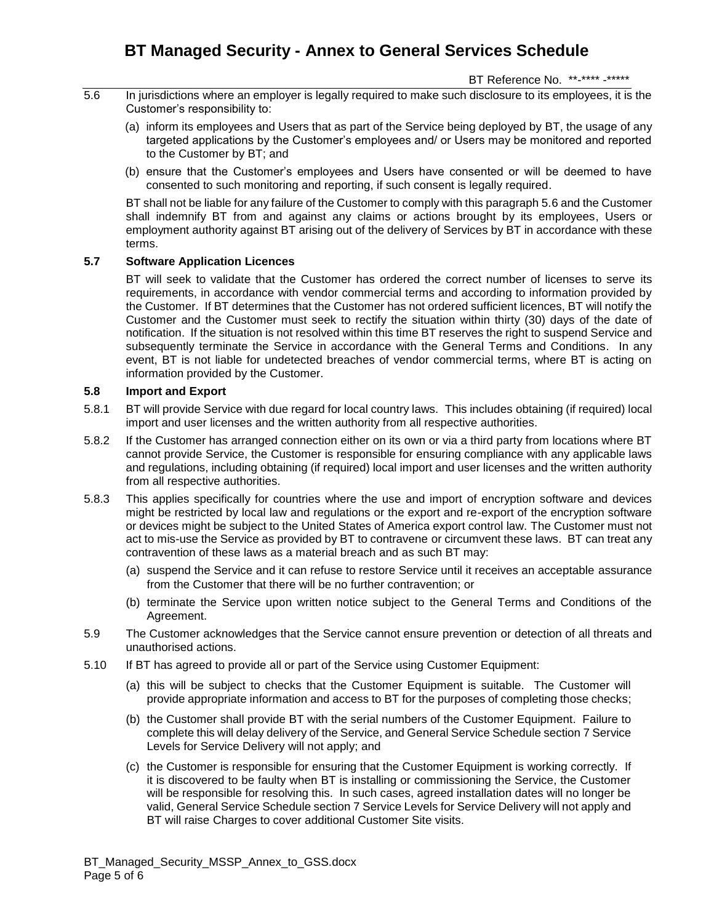BT Reference No. \*\*-\*\*\*\* -\*\*\*\*\*

- 5.6 In jurisdictions where an employer is legally required to make such disclosure to its employees, it is the Customer's responsibility to:
	- (a) inform its employees and Users that as part of the Service being deployed by BT, the usage of any targeted applications by the Customer's employees and/ or Users may be monitored and reported to the Customer by BT; and
	- (b) ensure that the Customer's employees and Users have consented or will be deemed to have consented to such monitoring and reporting, if such consent is legally required.

BT shall not be liable for any failure of the Customer to comply with this paragraph 5.6 and the Customer shall indemnify BT from and against any claims or actions brought by its employees, Users or employment authority against BT arising out of the delivery of Services by BT in accordance with these terms.

## **5.7 Software Application Licences**

BT will seek to validate that the Customer has ordered the correct number of licenses to serve its requirements, in accordance with vendor commercial terms and according to information provided by the Customer. If BT determines that the Customer has not ordered sufficient licences, BT will notify the Customer and the Customer must seek to rectify the situation within thirty (30) days of the date of notification. If the situation is not resolved within this time BT reserves the right to suspend Service and subsequently terminate the Service in accordance with the General Terms and Conditions. In any event, BT is not liable for undetected breaches of vendor commercial terms, where BT is acting on information provided by the Customer.

### **5.8 Import and Export**

- 5.8.1 BT will provide Service with due regard for local country laws. This includes obtaining (if required) local import and user licenses and the written authority from all respective authorities.
- 5.8.2 If the Customer has arranged connection either on its own or via a third party from locations where BT cannot provide Service, the Customer is responsible for ensuring compliance with any applicable laws and regulations, including obtaining (if required) local import and user licenses and the written authority from all respective authorities.
- 5.8.3 This applies specifically for countries where the use and import of encryption software and devices might be restricted by local law and regulations or the export and re-export of the encryption software or devices might be subject to the United States of America export control law. The Customer must not act to mis-use the Service as provided by BT to contravene or circumvent these laws. BT can treat any contravention of these laws as a material breach and as such BT may:
	- (a) suspend the Service and it can refuse to restore Service until it receives an acceptable assurance from the Customer that there will be no further contravention; or
	- (b) terminate the Service upon written notice subject to the General Terms and Conditions of the Agreement.
- 5.9 The Customer acknowledges that the Service cannot ensure prevention or detection of all threats and unauthorised actions.
- 5.10 If BT has agreed to provide all or part of the Service using Customer Equipment:
	- (a) this will be subject to checks that the Customer Equipment is suitable. The Customer will provide appropriate information and access to BT for the purposes of completing those checks;
	- (b) the Customer shall provide BT with the serial numbers of the Customer Equipment. Failure to complete this will delay delivery of the Service, and General Service Schedule section 7 Service Levels for Service Delivery will not apply; and
	- (c) the Customer is responsible for ensuring that the Customer Equipment is working correctly. If it is discovered to be faulty when BT is installing or commissioning the Service, the Customer will be responsible for resolving this. In such cases, agreed installation dates will no longer be valid, General Service Schedule section 7 Service Levels for Service Delivery will not apply and BT will raise Charges to cover additional Customer Site visits.